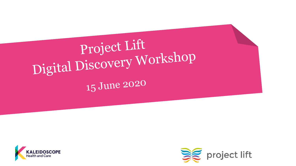



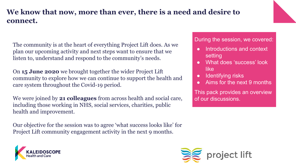### **We know that now, more than ever, there is a need and desire to connect.**

The community is at the heart of everything Project Lift does. As we plan our upcoming activity and next steps want to ensure that we listen to, understand and respond to the community's needs.

On **15 June 2020** we brought together the wider Project Lift community to explore how we can continue to support the health and care system throughout the Covid-19 period.

We were joined by **21 colleagues** from across health and social care, including those working in NHS, social services, charities, public health and improvement.

Our objective for the session was to agree 'what success looks like' for Project Lift community engagement activity in the next 9 months.



During the session, we covered:

- Introductions and context setting
- What does 'success' look like
- Identifying risks
- Aims for the next 9 months

This pack provides an overview of our discussions.

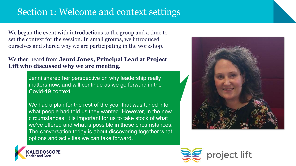# Section 1: Welcome and context settings

We began the event with introductions to the group and a time to set the context for the session. In small groups, we introduced ourselves and shared why we are participating in the workshop.

#### We then heard from **Jenni Jones, Principal Lead at Project Lift who discussed why we are meeting.**

Jenni shared her perspective on why leadership really matters now, and will continue as we go forward in the Covid-19 context.

We had a plan for the rest of the year that was tuned into what people had told us they wanted. However, in the new circumstances, it is important for us to take stock of what we've offered and what is possible in these circumstances. The conversation today is about discovering together what options and activities we can take forward.





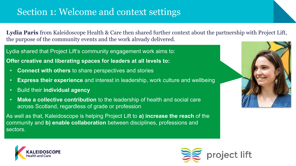# Section 1: Welcome and context settings

**Lydia Paris** from Kaleidoscope Health & Care then shared further context about the partnership with Project Lift, the purpose of the community events and the work already delivered.

Lydia shared that Project Lift's community engagement work aims to:

**Offer creative and liberating spaces for leaders at all levels to:**

- **Connect with others** to share perspectives and stories
- **Express their experience** and interest in leadership, work culture and wellbeing
- Build their **individual agency**
- **Make a collective contribution** to the leadership of health and social care across Scotland, regardless of grade or profession

As well as that, Kaleidoscope is helping Project Lift to **a) increase the reach** of the community and **b) enable collaboration** between disciplines, professions and sectors.





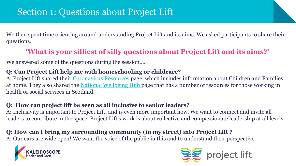We then spent time orienting around understanding Project Lift and its aims. We asked participants to share their questions.

### **'What is your silliest of silly questions about Project Lift and its aims?'**

We answered some of the questions during the session….

#### **Q: Can Project Lift help me with homeschooling or childcare?**

A: Project Lift shared their [Coronavirus Resources p](https://projectlift.scot/coronavirus-resources/)age, which includes information about Children and Families at home. They also shared the [National Wellbeing Hub p](https://www.promis.scot/)age that has a number of resources for those working in health or social services in Scotland.

#### **Q: How can project lift be seen as all inclusive to senior leaders?**

A: Inclusivity is important to Project Lift, and is even more important now. We want to connect and invite all leaders to contribute in the space. Project Lift's work is about collective and compassionate leadership at all levels.

#### **Q: How can I bring my surrounding community (in my street) into Project Lift ?**

A: Our ears are wide open! We want the voice of the public in this and to understand their perspective.



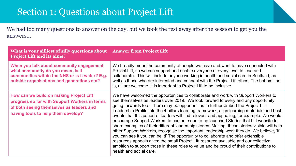# Section 1: Questions about Project Lift

We had too many questions to answer on the day, but we took the rest away after the session to get you the answers...

| What is your silliest of silly questions about Answer from Project Lift<br><b>Project Lift and its aims?</b>                                                                   |                                                                                                                                                                                                                                                                                                                                                                                                                                                                                                                                                                                                                                                                                                                                                                                                                                                                                                                                                                                                                                                   |
|--------------------------------------------------------------------------------------------------------------------------------------------------------------------------------|---------------------------------------------------------------------------------------------------------------------------------------------------------------------------------------------------------------------------------------------------------------------------------------------------------------------------------------------------------------------------------------------------------------------------------------------------------------------------------------------------------------------------------------------------------------------------------------------------------------------------------------------------------------------------------------------------------------------------------------------------------------------------------------------------------------------------------------------------------------------------------------------------------------------------------------------------------------------------------------------------------------------------------------------------|
| When you talk about community engagement<br>what community do you mean, is it<br>communities within the NHS or is it wider? E.g.<br>outside organisations and generations etc? | We broadly mean the community of people we have and want to have connected with<br>Project Lift, so we can support and enable everyone at every level to lead and<br>collaborate. This will include anyone working in health and social care in Scotland, as<br>well as those who are interested and connect with the Project Lift ethos. The bottom line<br>is, all are welcome, it is important to Project Lift to be inclusive.                                                                                                                                                                                                                                                                                                                                                                                                                                                                                                                                                                                                                |
| How can we build on making Project Lift<br>progress so far with Support Workers in terms<br>of both seeing themselves as leaders and<br>having tools to help them develop?     | We have welcomed the opportunities to collaborate and work with Support Workers to<br>see themselves as leaders over 2019. We look forward to every and any opportunity<br>going forwards too. There may be opportunities to further embed the Project Lift<br>Leadership Profile into the 4 pillars learning framework, align learning materials and host<br>events that this cohort of leaders will find relevant and appealing, for example. We would<br>encourage Support Workers to use our soon to be launched Stories that Lift website to<br>share examples of their different leadership stories. Making these stories visible will help<br>other Support Workers, recognise the important leadership work they do. We believe, 'if<br>you can see it you can be it!' The opportunity to collaborate and offer extensible<br>resources appeals given the small Project Lift resource available and our collective<br>ambition to support those in these roles to value and be proud of their contributions to<br>health and social care. |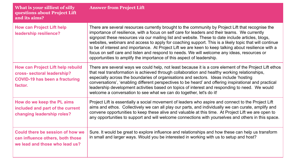| What is your silliest of silly<br>questions about Project Lift<br>and its aims?                                             | <b>Answer from Project Lift</b>                                                                                                                                                                                                                                                                                                                                                                                                                                                                                                                                                                                                                                                                    |
|-----------------------------------------------------------------------------------------------------------------------------|----------------------------------------------------------------------------------------------------------------------------------------------------------------------------------------------------------------------------------------------------------------------------------------------------------------------------------------------------------------------------------------------------------------------------------------------------------------------------------------------------------------------------------------------------------------------------------------------------------------------------------------------------------------------------------------------------|
| <b>How can Project Lift help</b><br>leadership resilience?                                                                  | There are several resources currently brought to the community by Project Lift that recognise the<br>importance of resilience, with a focus on self care for leaders and their teams. We currently<br>signpost these resources via our mailing list and website. These to date include articles, blogs,<br>websites, webinars and access to apply for coaching support. This is a likely topic that will continue<br>to be of interest and importance. At Project Lift we are keen to keep talking about resilience with a<br>focus on self care and listen and respond to needs. We will welcome any ideas, resources or<br>opportunities to amplify the importance of this aspect of leadership. |
| <b>How can Project Lift help rebuild</b><br>cross- sectoral leadership?<br><b>COVID-19 has been a fracturing</b><br>factor. | There are several ways we could help, not least because it is a core element of the Project Lift ethos<br>that real transformation is achieved through collaboration and healthy working relationships,<br>especially across the boundaries of organisations and sectors. Ideas include 'hosting<br>conversations', 'enabling different perspectives to be heard' and offering inspirational and practical<br>leadership development activities based on topics of interest and responding to need. We would<br>welcome a conversation to see what we can do together, let's do it!                                                                                                                |
| How do we keep the PL aims<br>included and part of the current<br>changing leadership roles?                                | Project Lift is essentially a social movement of leaders who aspire and connect to the Project Lift<br>aims and ethos. Collectively we can all play our parts, and individually we can curate, amplify and<br>convene opportunities to keep these alive and valuable at this time. At Project Lift we are open to<br>any opportunities to support and will welcome connections with yourselves and others in this space.                                                                                                                                                                                                                                                                           |
| Could there be session of how we<br>can influence others, both those<br>we lead and those who lead us?                      | Sure. It would be great to explore influence and relationships and how these can help us transform<br>in small and larger ways. Would you be interested in working with us to setup and host?                                                                                                                                                                                                                                                                                                                                                                                                                                                                                                      |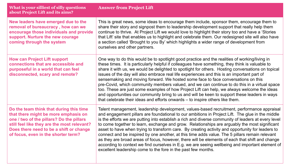| What is your silliest of silly questions<br>about Project Lift and its aims?                                                                                                                                                                                 | <b>Answer from Project Lift</b>                                                                                                                                                                                                                                                                                                                                                                                                                                                                                                                                                                                                                                                                                                                                                                                                                                                     |
|--------------------------------------------------------------------------------------------------------------------------------------------------------------------------------------------------------------------------------------------------------------|-------------------------------------------------------------------------------------------------------------------------------------------------------------------------------------------------------------------------------------------------------------------------------------------------------------------------------------------------------------------------------------------------------------------------------------------------------------------------------------------------------------------------------------------------------------------------------------------------------------------------------------------------------------------------------------------------------------------------------------------------------------------------------------------------------------------------------------------------------------------------------------|
| New leaders have emerged due to the<br>removal of bureaucracy, how can we<br>encourage those individuals and provide<br>support. Nurture the new courage<br>coming through the system                                                                        | This is great news, some ideas to encourage them include, sponsor them, encourage them to<br>share their story and signpost them to leadership development support that really help them<br>continue to thrive. At Project Lift we would love to highlight their story too and have a 'Stories<br>that Lift' site that enables us to highlight and celebrate them. Our redesigned site will also have<br>a section called 'Brought to you By' which highlights a wider range of development from<br>ourselves and other partners.                                                                                                                                                                                                                                                                                                                                                   |
| <b>How can Project Lift support</b><br>connections that are accessible and<br>purposeful in a world that can feel<br>disconnected, scary and remote?                                                                                                         | One way to do this would be to spotlight good practice and the realities of working/living in<br>these times. It is particularly helpful if colleagues have something, they think is valuable to<br>share it with us, we would be delighted to spotlight for others. Hosting conversations on topical<br>issues of the day will also embrace real life experiences and this is an important part of<br>sensemaking and moving forward. We hosted some face to face conversations on this<br>pre-Covid, which community members valued, and we can continue to do this in a virtual space<br>too. These are just some examples of how Project Lift can help, we always welcome the ideas<br>and opportunities our community bring to us and will be keen to support these leaders in ways<br>that celebrate their ideas and efforts onwards – to inspire others like them.           |
| Do the team think that during this time<br>that there might be more emphasis on<br>one / two of the pillars? Do the pillars<br>still feel like they are the most relevant?<br>Does there need to be a shift or change<br>of focus, even in the shorter term? | Talent management, leadership development, values-based recruitment, performance appraisal<br>and engagement pillars are foundational to our ambitions in Project Lift. The glue in the middle<br>is the efforts we are putting into establish a rich and diverse community of leaders at every level<br>to come together to learn, exchange and grow. Relationships are arguably the most significant<br>asset to have when trying to transform care. By creating activity and opportunity for leaders to<br>connect and be inspired by one another, at this time adds value. The 5 pillars remain relevant<br>as they are broad areas of focus, however, there will be elements of each that shift and change<br>according to context we find ourselves in E.g. we are seeing wellbeing and important element of<br>excellent leadership come to the fore in the past few months. |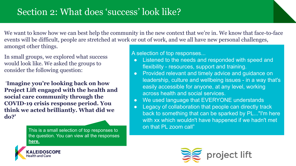# Section 2: What does 'success' look like?

We want to know how we can best help the community in the new context that we're in. We know that face-to-face events will be difficult, people are stretched at work or out of work, and we all have new personal challenges, amongst other things.

In small groups, we explored what success would look like. We asked the groups to consider the following question:

 '**Imagine you're looking back on how Project Lift engaged with the health and social care community through the COVID-19 crisis response period. You think we acted brilliantly. What did we do?'**

> This is a small selection of top responses to [the question. You can view all the responses](https://padlet.com/kscope/c89bkax26ovo5ure)  **[here.](https://padlet.com/kscope/c89bkax26ovo5ure)**



A selection of top responses...

- Listened to the needs and responded with speed and flexibility - resources, support and training.
- Provided relevant and timely advice and guidance on leadership, culture and wellbeing issues - in a way that's easily accessible for anyone, at any level, working across health and social services.
- We used language that EVERYONE understands
- Legacy of collaboration that people can directly track back to something that can be sparked by PL..."I'm here with xx which wouldn't have happened if we hadn't met on that PL zoom call"

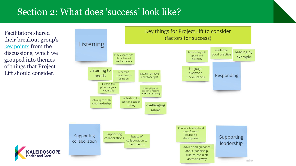## Section 2: What does 'success' look like?

Facilitators shared their breakout group's [key points](https://padlet.com/kscope/c89bkax26ovo5ure) from the discussions, which we grouped into themes of things that Project Lift should consider.

**lealth and Care** 

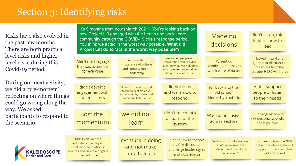# Section 3: Identifying risks

Risks have also evolved in the past few months. There are both practical level risks and higher level risks during this Covid-19 period.

During our next activity, we did a 'pre-mortem', reflecting on where things could go wrong along the way. We asked participants to respond to the scenario:

**IDOSCOPE** 

lealth and Care

It's 9 months from now (March 2021). You're looking back on how Project Lift engaged with the health and social care community through the COVID-19 crisis response period. You think we acted in the worst way possible. **What did Project Lift do to 'act in the worst way possible'?** 

get stuck in doing

and not make

time to learn

decisions lead looked inward and overloaded people with ignored the PL sent out Didn't use language information and or didn't ignored or discounted importance of culture listen to what was valuable. conflicting messages that was accessible the voices from the and compassionate what was landing or fail to which were of no use for everyone broader H&SC workforce leadership change tactic as needed did not listen didn't support didn't develop fell back into the' Didn't listen and respond to the current situation engagement with and were slow to old school' people or listen and was led by control and hierarchy rhetoric other sectors respond. to their needs command behaviours didn't reach into lost the we did not PL - engagement was Was not inclusive all parts of the not personal enough, across sectors momentum learn too high level system

Didn't consider the leadership capability and needs of people who use services and carers alongside the workforce

didnt allow for people Sent so much information I to safely discuss and didn't know what was challenge leader styles relevant and useful and what wasn't and experiences

Made no

focussed only on the NHS, not on the whole system of support for people to live well in Scotland.

didn't listen, told

leaders how to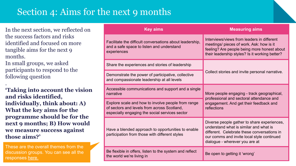# Section 4: Aims for the next 9 months

In the next section, we reflected on the success factors and risks identified and focused on more tangible aims for the next 9 months.

In small groups, we asked participants to respond to the following question

. **'Taking into account the vision and risks identified, individually, think about: A) What the key aims for the programme should be for the next 9 months; B) How would we measure success against those aims?'**

These are the overall themes from the [discussion groups. You can see all the](https://padlet.com/kscope/d1tenyzm9o9usr2r)  responses [here.](https://padlet.com/kscope/d1tenyzm9o9usr2r)

| <b>Key aims</b>                                                                                                                                     | <b>Measuring aims</b>                                                                                                                                                                                                |  |
|-----------------------------------------------------------------------------------------------------------------------------------------------------|----------------------------------------------------------------------------------------------------------------------------------------------------------------------------------------------------------------------|--|
| Facilitate the difficult conversations about leadership,<br>and a safe space to listen and understand<br>experiences                                | Interviews/views from leaders in different<br>meetings/ pieces of work. Ask: how is it<br>feeling? Are people being more honest about<br>their leadership styles? Is it working better?                              |  |
| Share the experiences and stories of leadership                                                                                                     |                                                                                                                                                                                                                      |  |
| Demonstrate the power of participative, collective<br>and compassionate leadership at all levels                                                    | Collect stories and invite personal narrative.                                                                                                                                                                       |  |
| Accessible communications and support and a single<br>narrative                                                                                     | More people engaging - track geographical,<br>professional and sectoral attendance and                                                                                                                               |  |
| Explore scale and how to involve people from range<br>of sectors and levels from across Scotland,<br>especially engaging the social services sector | engagement. And get their feedback and<br>reflections                                                                                                                                                                |  |
| Have a blended approach to opportunities to enable<br>participation from those with different styles                                                | Diverse people gather to share experiences,<br>understand what is similar and what is<br>different. Celebrate these conversations in<br>our comms and invite local style continued<br>dialogue - wherever you are at |  |
| Be flexible in offers, listen to the system and reflect<br>the world we're living in                                                                | Be open to getting it 'wrong'                                                                                                                                                                                        |  |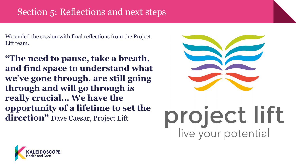# Section 5: Reflections and next steps

We ended the session with final reflections from the Project Lift team.

**"The need to pause, take a breath, and find space to understand what we've gone through, are still going through and will go through is really crucial… We have the opportunity of a lifetime to set the direction"** Dave Caesar, Project Lift